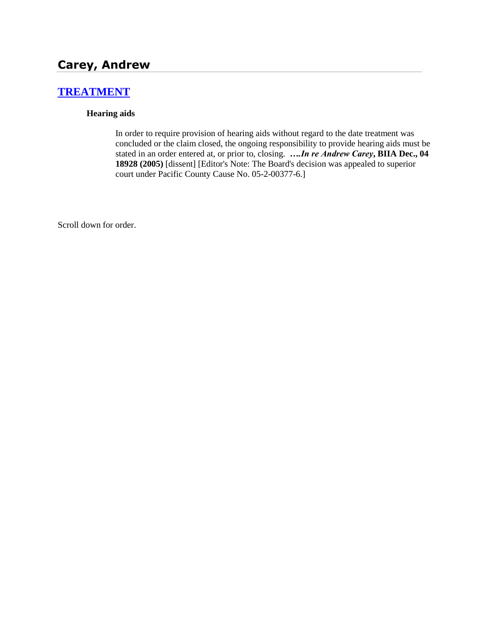# **Carey, Andrew**

# **[TREATMENT](http://www.biia.wa.gov/SDSubjectIndex.html#TREATMENT)**

#### **Hearing aids**

In order to require provision of hearing aids without regard to the date treatment was concluded or the claim closed, the ongoing responsibility to provide hearing aids must be stated in an order entered at, or prior to, closing. *….In re Andrew Carey***, BIIA Dec., 04 18928 (2005)** [dissent] [Editor's Note: The Board's decision was appealed to superior court under Pacific County Cause No. 05-2-00377-6.]

Scroll down for order.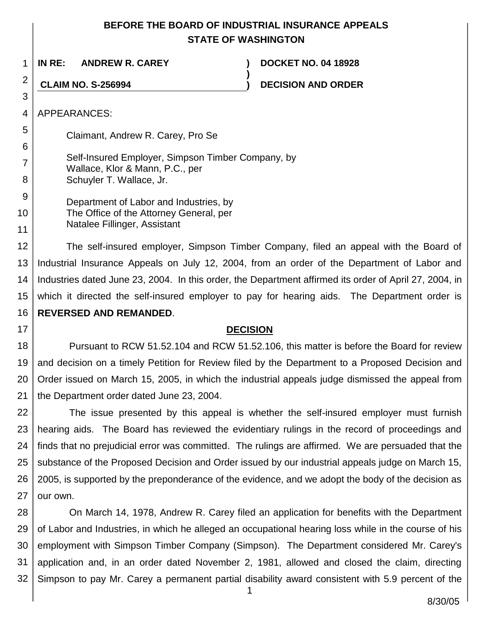## **BEFORE THE BOARD OF INDUSTRIAL INSURANCE APPEALS STATE OF WASHINGTON**

**)**

1 **IN RE: ANDREW R. CAREY ) DOCKET NO. 04 18928**

**CLAIM NO. S-256994 ) DECISION AND ORDER**

4 APPEARANCES:

2

3

5

6

7

8

17

Claimant, Andrew R. Carey, Pro Se

Self-Insured Employer, Simpson Timber Company, by Wallace, Klor & Mann, P.C., per Schuyler T. Wallace, Jr.

9 10 11 Department of Labor and Industries, by The Office of the Attorney General, per Natalee Fillinger, Assistant

12 13 14 15 16 The self-insured employer, Simpson Timber Company, filed an appeal with the Board of Industrial Insurance Appeals on July 12, 2004, from an order of the Department of Labor and Industries dated June 23, 2004. In this order, the Department affirmed its order of April 27, 2004, in which it directed the self-insured employer to pay for hearing aids. The Department order is **REVERSED AND REMANDED**.

#### **DECISION**

18 19 20 21 Pursuant to RCW 51.52.104 and RCW 51.52.106, this matter is before the Board for review and decision on a timely Petition for Review filed by the Department to a Proposed Decision and Order issued on March 15, 2005, in which the industrial appeals judge dismissed the appeal from the Department order dated June 23, 2004.

22 23 24 25 26 27 The issue presented by this appeal is whether the self-insured employer must furnish hearing aids. The Board has reviewed the evidentiary rulings in the record of proceedings and finds that no prejudicial error was committed. The rulings are affirmed. We are persuaded that the substance of the Proposed Decision and Order issued by our industrial appeals judge on March 15, 2005, is supported by the preponderance of the evidence, and we adopt the body of the decision as our own.

28 29 30 31 32 On March 14, 1978, Andrew R. Carey filed an application for benefits with the Department of Labor and Industries, in which he alleged an occupational hearing loss while in the course of his employment with Simpson Timber Company (Simpson). The Department considered Mr. Carey's application and, in an order dated November 2, 1981, allowed and closed the claim, directing Simpson to pay Mr. Carey a permanent partial disability award consistent with 5.9 percent of the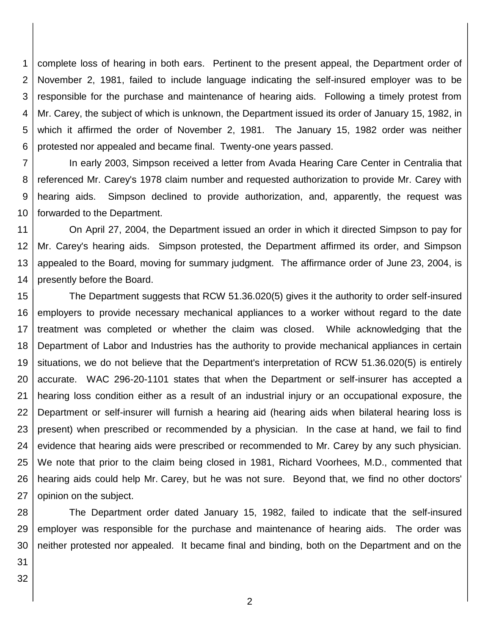1 2 3 4 5 6 complete loss of hearing in both ears. Pertinent to the present appeal, the Department order of November 2, 1981, failed to include language indicating the self-insured employer was to be responsible for the purchase and maintenance of hearing aids. Following a timely protest from Mr. Carey, the subject of which is unknown, the Department issued its order of January 15, 1982, in which it affirmed the order of November 2, 1981. The January 15, 1982 order was neither protested nor appealed and became final. Twenty-one years passed.

7 8 9 10 In early 2003, Simpson received a letter from Avada Hearing Care Center in Centralia that referenced Mr. Carey's 1978 claim number and requested authorization to provide Mr. Carey with hearing aids. Simpson declined to provide authorization, and, apparently, the request was forwarded to the Department.

11 12 13 14 On April 27, 2004, the Department issued an order in which it directed Simpson to pay for Mr. Carey's hearing aids. Simpson protested, the Department affirmed its order, and Simpson appealed to the Board, moving for summary judgment. The affirmance order of June 23, 2004, is presently before the Board.

15 16 17 18 19 20 21 22 23 24 25 26 27 The Department suggests that RCW 51.36.020(5) gives it the authority to order self-insured employers to provide necessary mechanical appliances to a worker without regard to the date treatment was completed or whether the claim was closed. While acknowledging that the Department of Labor and Industries has the authority to provide mechanical appliances in certain situations, we do not believe that the Department's interpretation of RCW 51.36.020(5) is entirely accurate. WAC 296-20-1101 states that when the Department or self-insurer has accepted a hearing loss condition either as a result of an industrial injury or an occupational exposure, the Department or self-insurer will furnish a hearing aid (hearing aids when bilateral hearing loss is present) when prescribed or recommended by a physician. In the case at hand, we fail to find evidence that hearing aids were prescribed or recommended to Mr. Carey by any such physician. We note that prior to the claim being closed in 1981, Richard Voorhees, M.D., commented that hearing aids could help Mr. Carey, but he was not sure. Beyond that, we find no other doctors' opinion on the subject.

28 29 30 The Department order dated January 15, 1982, failed to indicate that the self-insured employer was responsible for the purchase and maintenance of hearing aids. The order was neither protested nor appealed. It became final and binding, both on the Department and on the

31 32

2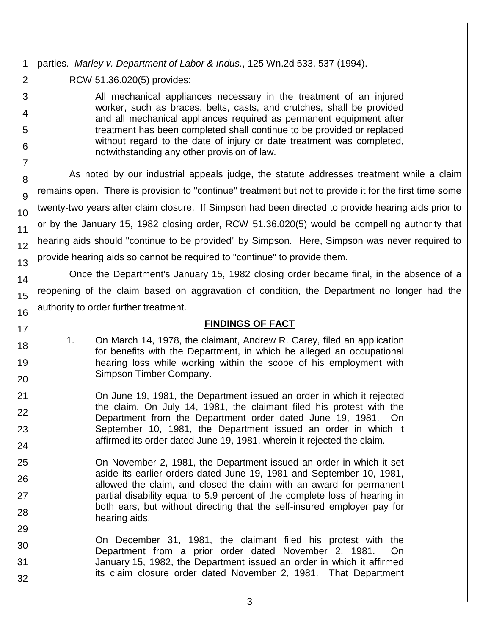## parties. *Marley v. Department of Labor & Indus.*, 125 Wn.2d 533, 537 (1994).

RCW 51.36.020(5) provides:

All mechanical appliances necessary in the treatment of an injured worker, such as braces, belts, casts, and crutches, shall be provided and all mechanical appliances required as permanent equipment after treatment has been completed shall continue to be provided or replaced without regard to the date of injury or date treatment was completed, notwithstanding any other provision of law.

As noted by our industrial appeals judge, the statute addresses treatment while a claim remains open. There is provision to "continue" treatment but not to provide it for the first time some twenty-two years after claim closure. If Simpson had been directed to provide hearing aids prior to or by the January 15, 1982 closing order, RCW 51.36.020(5) would be compelling authority that hearing aids should "continue to be provided" by Simpson. Here, Simpson was never required to provide hearing aids so cannot be required to "continue" to provide them.

Once the Department's January 15, 1982 closing order became final, in the absence of a reopening of the claim based on aggravation of condition, the Department no longer had the authority to order further treatment.

### **FINDINGS OF FACT**

- 1. On March 14, 1978, the claimant, Andrew R. Carey, filed an application for benefits with the Department, in which he alleged an occupational hearing loss while working within the scope of his employment with Simpson Timber Company.
- On June 19, 1981, the Department issued an order in which it rejected the claim. On July 14, 1981, the claimant filed his protest with the Department from the Department order dated June 19, 1981. On September 10, 1981, the Department issued an order in which it affirmed its order dated June 19, 1981, wherein it rejected the claim.
- On November 2, 1981, the Department issued an order in which it set aside its earlier orders dated June 19, 1981 and September 10, 1981, allowed the claim, and closed the claim with an award for permanent partial disability equal to 5.9 percent of the complete loss of hearing in both ears, but without directing that the self-insured employer pay for hearing aids.
- On December 31, 1981, the claimant filed his protest with the Department from a prior order dated November 2, 1981. On January 15, 1982, the Department issued an order in which it affirmed its claim closure order dated November 2, 1981. That Department
- 1 2 3 4 5 6 7 8 9 10 11 12 13 14 15 16 17 18 19 20 21 22 23 24 25 26 27 28 29 30 31 32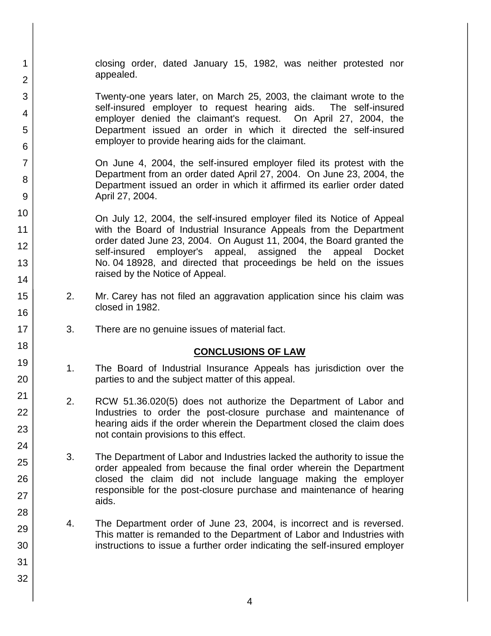closing order, dated January 15, 1982, was neither protested nor appealed.

Twenty-one years later, on March 25, 2003, the claimant wrote to the self-insured employer to request hearing aids. The self-insured employer denied the claimant's request. On April 27, 2004, the Department issued an order in which it directed the self-insured employer to provide hearing aids for the claimant.

 On June 4, 2004, the self-insured employer filed its protest with the Department from an order dated April 27, 2004. On June 23, 2004, the Department issued an order in which it affirmed its earlier order dated April 27, 2004.

On July 12, 2004, the self-insured employer filed its Notice of Appeal with the Board of Industrial Insurance Appeals from the Department order dated June 23, 2004. On August 11, 2004, the Board granted the self-insured employer's appeal, assigned the appeal Docket No. 04 18928, and directed that proceedings be held on the issues raised by the Notice of Appeal.

- 2. Mr. Carey has not filed an aggravation application since his claim was closed in 1982.
- 3. There are no genuine issues of material fact.

1

2

3

4

5

6

7

8

9

10

11 12

13

14

15

16

17 18

19

20

21

22

23

24

25

26

27

28

29

30

31

32

### **CONCLUSIONS OF LAW**

- 1. The Board of Industrial Insurance Appeals has jurisdiction over the parties to and the subject matter of this appeal.
- 2. RCW 51.36.020(5) does not authorize the Department of Labor and Industries to order the post-closure purchase and maintenance of hearing aids if the order wherein the Department closed the claim does not contain provisions to this effect.
- 3. The Department of Labor and Industries lacked the authority to issue the order appealed from because the final order wherein the Department closed the claim did not include language making the employer responsible for the post-closure purchase and maintenance of hearing aids.
- 4. The Department order of June 23, 2004, is incorrect and is reversed. This matter is remanded to the Department of Labor and Industries with instructions to issue a further order indicating the self-insured employer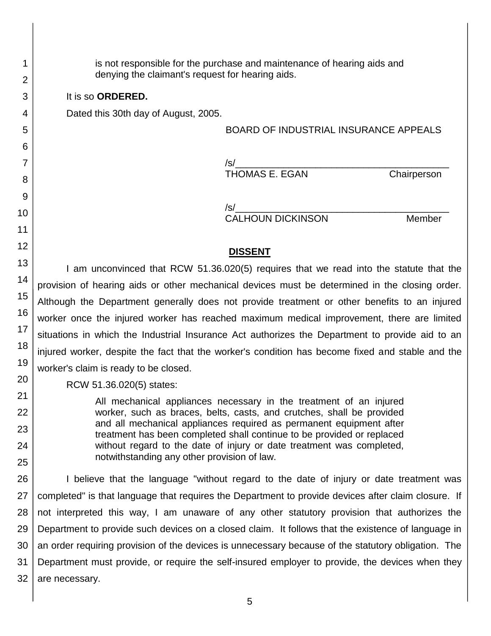is not responsible for the purchase and maintenance of hearing aids and denying the claimant's request for hearing aids.

It is so **ORDERED.**

Dated this 30th day of August, 2005.

BOARD OF INDUSTRIAL INSURANCE APPEALS

/s/\_\_\_\_\_\_\_\_\_\_\_\_\_\_\_\_\_\_\_\_\_\_\_\_\_\_\_\_\_\_\_\_\_\_\_\_\_\_\_\_ THOMAS E. EGAN Chairperson

/s/\_\_\_\_\_\_\_\_\_\_\_\_\_\_\_\_\_\_\_\_\_\_\_\_\_\_\_\_\_\_\_\_\_\_\_\_\_\_\_\_

CALHOUN DICKINSON Member

#### **DISSENT**

I am unconvinced that RCW 51.36.020(5) requires that we read into the statute that the provision of hearing aids or other mechanical devices must be determined in the closing order. Although the Department generally does not provide treatment or other benefits to an injured worker once the injured worker has reached maximum medical improvement, there are limited situations in which the Industrial Insurance Act authorizes the Department to provide aid to an injured worker, despite the fact that the worker's condition has become fixed and stable and the worker's claim is ready to be closed.

RCW 51.36.020(5) states:

All mechanical appliances necessary in the treatment of an injured worker, such as braces, belts, casts, and crutches, shall be provided and all mechanical appliances required as permanent equipment after treatment has been completed shall continue to be provided or replaced without regard to the date of injury or date treatment was completed, notwithstanding any other provision of law.

I believe that the language "without regard to the date of injury or date treatment was completed" is that language that requires the Department to provide devices after claim closure. If not interpreted this way, I am unaware of any other statutory provision that authorizes the Department to provide such devices on a closed claim. It follows that the existence of language in an order requiring provision of the devices is unnecessary because of the statutory obligation. The Department must provide, or require the self-insured employer to provide, the devices when they are necessary.